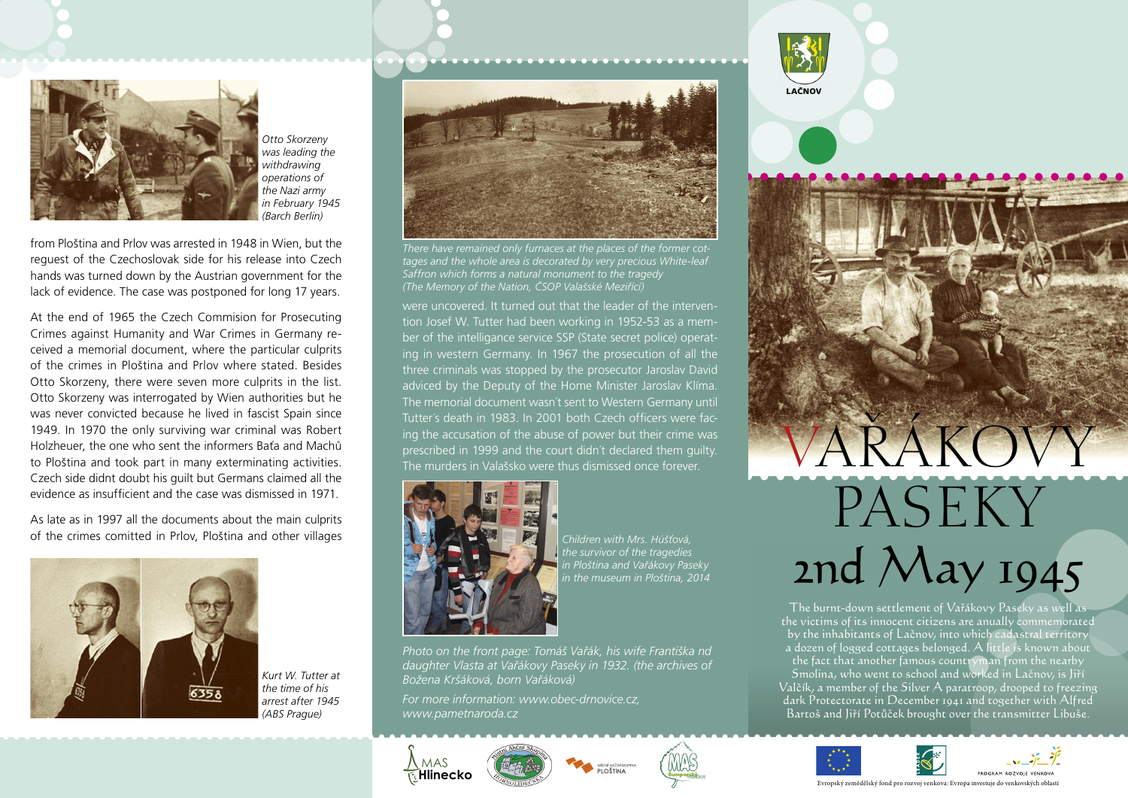

*Otto Skorzeny was leading the withdrawing operations of the Nazi army in February 1945 (Barch Berlin)*

from Ploština and Prlov was arrested in 1948 in Wien, but the reguest of the Czechoslovak side for his release into Czech hands was turned down by the Austrian government for the lack of evidence. The case was postponed for long 17 years.

At the end of 1965 the Czech Commision for Prosecuting Crimes against Humanity and War Crimes in Germany received a memorial document, where the particular culprits of the crimes in Ploština and Prlov where stated. Besides Otto Skorzeny, there were seven more culprits in the list. Otto Skorzeny was interrogated by Wien authorities but he was never convicted because he lived in fascist Spain since 1949. In 1970 the only surviving war criminal was Robert Holzheuer, the one who sent the informers Baťa and Machů to Ploština and took part in many exterminating activities. Czech side didnt doubt his guilt but Germans claimed all the evidence as insufficient and the case was dismissed in 1971.

As late as in 1997 all the documents about the main culprits of the crimes comitted in Prlov, Ploština and other villages



*Kurt W. Tutter at the time of his arrest after 1945 (ABS Prague)*



*There have remained only furnaces at the places of the former cottages and the whole area is decorated by very precious White-leaf Saffron which forms a natural monument to the tragedy (The Memory of the Nation, ČSOP Valašské Meziřící)*

were uncovered. It turned out that the leader of the intervention Josef W. Tutter had been working in 1952-53 as a member of the intelligance service SSP (State secret police) operating in western Germany. In 1967 the prosecution of all the three criminals was stopped by the prosecutor Jaroslav David adviced by the Deputy of the Home Minister Jaroslav Klíma. The memorial document wasn´t sent to Western Germany until Tutter´s death in 1983. In 2001 both Czech officers were facing the accusation of the abuse of power but their crime was prescribed in 1999 and the court didn´t declared them guilty. The murders in Valašsko were thus dismissed once forever.<br>The murders in Valašsko were thus dismissed once forever.



*Children with Mrs. Húšťová, the survivor of the tragedies in Ploština and Vařákovy Paseky in the museum in Ploština, 2014*

*Photo on the front page: Tomáš Vařák, his wife Františka nd daughter Vlasta at Vařákovy Paseky in 1932. (the archives of Božena Kršáková, born Vařáková)*

*For more information: www.obec-drnovice.cz, www.pametnaroda.cz*











Evropský zemědělský fond pro rozvoj venkova: Evropa investuje do venkovských oblastí

**PASEKY** 

2nd May 1945

The burnt-down settlement of Vařákovy Paseky as well as the victims of its innocent citizens are anually commemorated by the inhabitants of Lačnov, into which cadastral territory a dozen of logged cottages belonged. A little is known about the fact that another famous countryman from the nearby Smolina, who went to school and worked in Lačnov, is Jiří Valčík, a member of the Silver A paratroop, drooped to freezing dark Protectorate in December 1941 and together with Alfred Bartoš and Jiří Potůček brought over the transmitter Libuše.